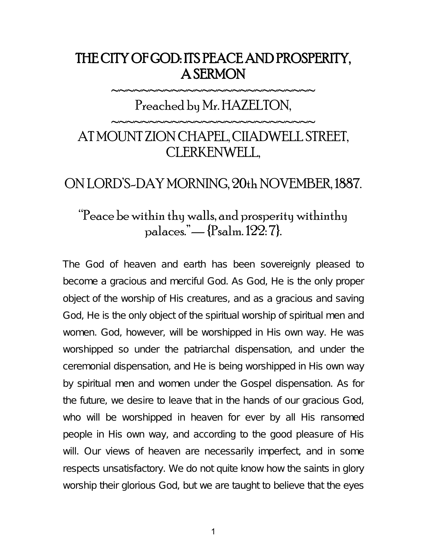# THE CITY OF GOD: ITS PEACE AND PROSPERITY, A SERMON

#### Preached by Mr. HAZELTON,

~~~~~~~~~~~~~~~~~~~~~~~~~

~~~~~~~~~~~~~~~~~~~~~~~~~

# AT MOUNT ZION CHAPEL, CIIADWELL STREET, CLERKENWELL,

### ON LORD'S-DAY MORNING, 20th NOVEMBER, 1887.

## "Peace be within thy walls, and prosperity withinthy palaces."— {Psalm. 122: 7}.

The God of heaven and earth has been sovereignly pleased to become a gracious and merciful God. As God, He is the only proper object of the worship of His creatures, and as a gracious and saving God, He is the only object of the spiritual worship of spiritual men and women. God, however, will be worshipped in His own way. He was worshipped so under the patriarchal dispensation, and under the ceremonial dispensation, and He is being worshipped in His own way by spiritual men and women under the Gospel dispensation. As for the future, we desire to leave that in the hands of our gracious God, who will be worshipped in heaven for ever by all His ransomed people in His own way, and according to the good pleasure of His will. Our views of heaven are necessarily imperfect, and in some respects unsatisfactory. We do not quite know how the saints in glory worship their glorious God, but we are taught to believe that the eyes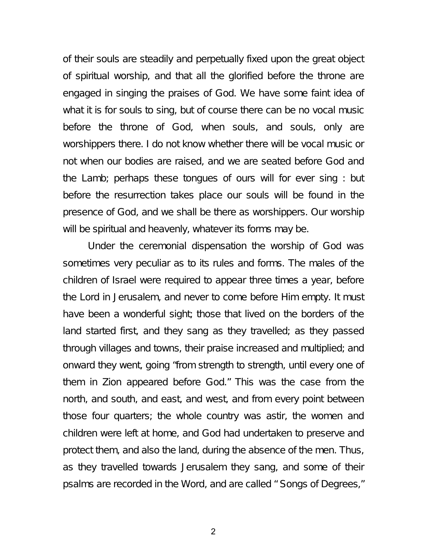of their souls are steadily and perpetually fixed upon the great object of spiritual worship, and that all the glorified before the throne are engaged in singing the praises of God. We have some faint idea of what it is for souls to sing, but of course there can be no vocal music before the throne of God, when souls, and souls, only are worshippers there. I do not know whether there will be vocal music or not when our bodies are raised, and we are seated before God and the Lamb; perhaps these tongues of ours will for ever sing : but before the resurrection takes place our souls will be found in the presence of God, and we shall be there as worshippers. Our worship will be spiritual and heavenly, whatever its forms may be.

Under the ceremonial dispensation the worship of God was sometimes very peculiar as to its rules and forms. The males of the children of Israel were required to appear three times a year, before the Lord in Jerusalem, and never to come before Him empty. It must have been a wonderful sight; those that lived on the borders of the land started first, and they sang as they travelled; as they passed through villages and towns, their praise increased and multiplied; and onward they went, going "from strength to strength, until every one of them in Zion appeared before God." This was the case from the north, and south, and east, and west, and from every point between those four quarters; the whole country was astir, the women and children were left at home, and God had undertaken to preserve and protect them, and also the land, during the absence of the men. Thus, as they travelled towards Jerusalem they sang, and some of their psalms are recorded in the Word, and are called " Songs of Degrees,"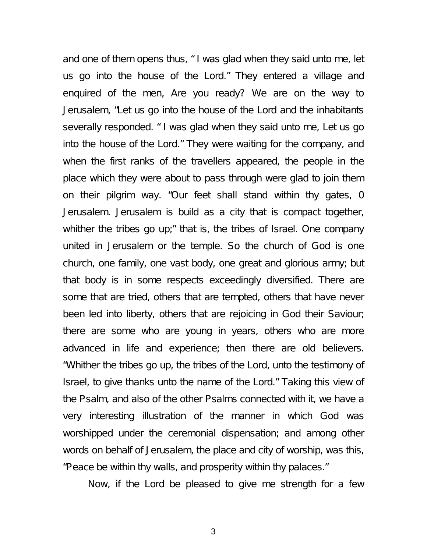and one of them opens thus, " I was glad when they said unto me, let us go into the house of the Lord." They entered a village and enquired of the men, Are you ready? We are on the way to Jerusalem, "Let us go into the house of the Lord and the inhabitants severally responded. " I was glad when they said unto me, Let us go into the house of the Lord." They were waiting for the company, and when the first ranks of the travellers appeared, the people in the place which they were about to pass through were glad to join them on their pilgrim way. "Our feet shall stand within thy gates, 0 Jerusalem. Jerusalem is build as a city that is compact together, whither the tribes go up;" that is, the tribes of Israel. One company united in Jerusalem or the temple. So the church of God is one church, one family, one vast body, one great and glorious army; but that body is in some respects exceedingly diversified. There are some that are tried, others that are tempted, others that have never been led into liberty, others that are rejoicing in God their Saviour; there are some who are young in years, others who are more advanced in life and experience; then there are old believers. "Whither the tribes go up, the tribes of the Lord, unto the testimony of Israel, to give thanks unto the name of the Lord." Taking this view of the Psalm, and also of the other Psalms connected with it, we have a very interesting illustration of the manner in which God was worshipped under the ceremonial dispensation; and among other words on behalf of Jerusalem, the place and city of worship, was this, "Peace be within thy walls, and prosperity within thy palaces."

Now, if the Lord be pleased to give me strength for a few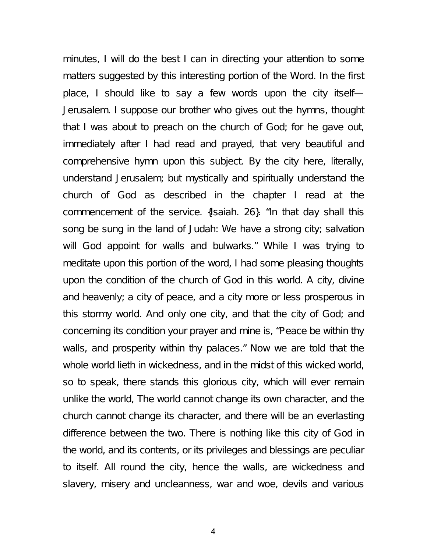minutes, I will do the best I can in directing your attention to some matters suggested by this interesting portion of the Word. In the first place, I should like to say a few words upon the city itself— Jerusalem. I suppose our brother who gives out the hymns, thought that I was about to preach on the church of God; for he gave out, immediately after I had read and prayed, that very beautiful and comprehensive hymn upon this subject. By the city here, literally, understand Jerusalem; but mystically and spiritually understand the church of God as described in the chapter I read at the commencement of the service. {Isaiah. 26}. "In that day shall this song be sung in the land of Judah: We have a strong city; salvation will God appoint for walls and bulwarks." While I was trying to meditate upon this portion of the word, I had some pleasing thoughts upon the condition of the church of God in this world. A city, divine and heavenly; a city of peace, and a city more or less prosperous in this stormy world. And only one city, and that the city of God; and concerning its condition your prayer and mine is, "Peace be within thy walls, and prosperity within thy palaces." Now we are told that the whole world lieth in wickedness, and in the midst of this wicked world, so to speak, there stands this glorious city, which will ever remain unlike the world, The world cannot change its own character, and the church cannot change its character, and there will be an everlasting difference between the two. There is nothing like this city of God in the world, and its contents, or its privileges and blessings are peculiar to itself. All round the city, hence the walls, are wickedness and slavery, misery and uncleanness, war and woe, devils and various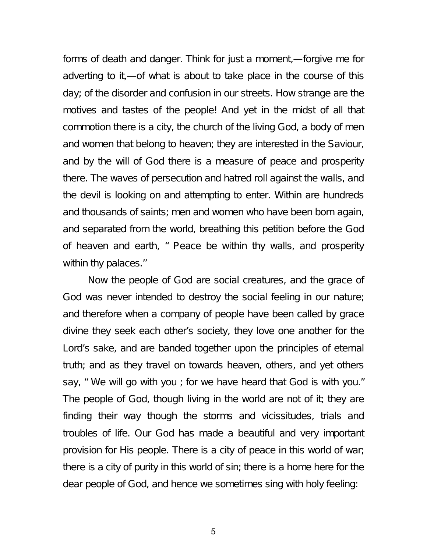forms of death and danger. Think for just a moment,—forgive me for adverting to it,—of what is about to take place in the course of this day; of the disorder and confusion in our streets. How strange are the motives and tastes of the people! And yet in the midst of all that commotion there is a city, the church of the living God, a body of men and women that belong to heaven; they are interested in the Saviour, and by the will of God there is a measure of peace and prosperity there. The waves of persecution and hatred roll against the walls, and the devil is looking on and attempting to enter. Within are hundreds and thousands of saints; men and women who have been born again, and separated from the world, breathing this petition before the God of heaven and earth, " Peace be within thy walls, and prosperity within thy palaces.''

Now the people of God are social creatures, and the grace of God was never intended to destroy the social feeling in our nature; and therefore when a company of people have been called by grace divine they seek each other's society, they love one another for the Lord's sake, and are banded together upon the principles of eternal truth; and as they travel on towards heaven, others, and yet others say, " We will go with you ; for we have heard that God is with you." The people of God, though living in the world are not of it; they are finding their way though the storms and vicissitudes, trials and troubles of life. Our God has made a beautiful and very important provision for His people. There is a city of peace in this world of war; there is a city of purity in this world of sin; there is a home here for the dear people of God, and hence we sometimes sing with holy feeling: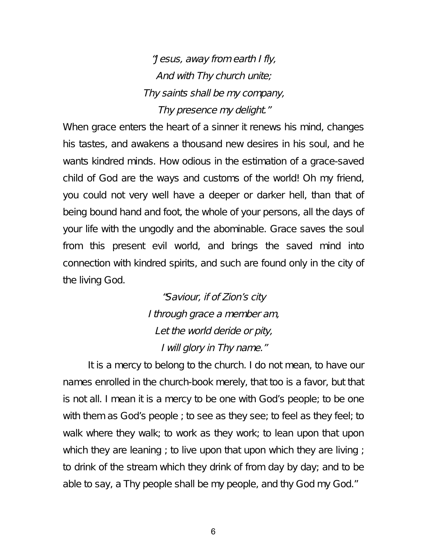"Jesus, away from earth <sup>I</sup> fly, And with Thy church unite; Thy saints shall be my company, Thy presence my delight."

When grace enters the heart of a sinner it renews his mind, changes his tastes, and awakens a thousand new desires in his soul, and he wants kindred minds. How odious in the estimation of a grace-saved child of God are the ways and customs of the world! Oh my friend, you could not very well have a deeper or darker hell, than that of being bound hand and foot, the whole of your persons, all the days of your life with the ungodly and the abominable. Grace saves the soul from this present evil world, and brings the saved mind into connection with kindred spirits, and such are found only in the city of the living God.

> "Saviour, if of Zion's city <sup>I</sup> through grace <sup>a</sup> member am, Let the world deride or pity, <sup>I</sup> will glory in Thy name."

It is a mercy to belong to the church. I do not mean, to have our names enrolled in the church-book merely, that too is a favor, but that is not all. I mean it is a mercy to be one with God's people; to be one with them as God's people ; to see as they see; to feel as they feel; to walk where they walk; to work as they work; to lean upon that upon which they are leaning; to live upon that upon which they are living; to drink of the stream which they drink of from day by day; and to be able to say, a Thy people shall be my people, and thy God my God."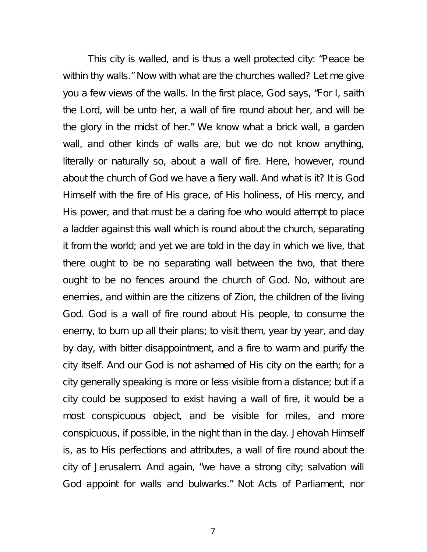This city is walled, and is thus a well protected city: "Peace be within thy walls." Now with what are the churches walled? Let me give you a few views of the walls. In the first place, God says, "For I, saith the Lord, will be unto her, a wall of fire round about her, and will be the glory in the midst of her." We know what a brick wall, a garden wall, and other kinds of walls are, but we do not know anything, literally or naturally so, about a wall of fire. Here, however, round about the church of God we have a fiery wall. And what is it? It is God Himself with the fire of His grace, of His holiness, of His mercy, and His power, and that must be a daring foe who would attempt to place a ladder against this wall which is round about the church, separating it from the world; and yet we are told in the day in which we live, that there ought to be no separating wall between the two, that there ought to be no fences around the church of God. No, without are enemies, and within are the citizens of Zion, the children of the living God. God is a wall of fire round about His people, to consume the enemy, to burn up all their plans; to visit them, year by year, and day by day, with bitter disappointment, and a fire to warm and purify the city itself. And our God is not ashamed of His city on the earth; for a city generally speaking is more or less visible from a distance; but if a city could be supposed to exist having a wall of fire, it would be a most conspicuous object, and be visible for miles, and more conspicuous, if possible, in the night than in the day. Jehovah Himself is, as to His perfections and attributes, a wall of fire round about the city of Jerusalem. And again, "we have a strong city; salvation will God appoint for walls and bulwarks." Not Acts of Parliament, nor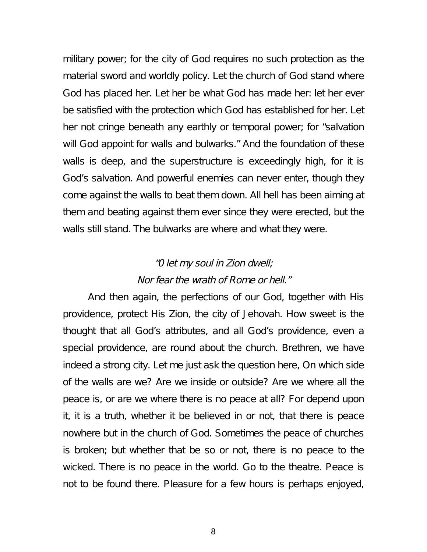military power; for the city of God requires no such protection as the material sword and worldly policy. Let the church of God stand where God has placed her. Let her be what God has made her: let her ever be satisfied with the protection which God has established for her. Let her not cringe beneath any earthly or temporal power; for "salvation will God appoint for walls and bulwarks." And the foundation of these walls is deep, and the superstructure is exceedingly high, for it is God's salvation. And powerful enemies can never enter, though they come against the walls to beat them down. All hell has been aiming at them and beating against them ever since they were erected, but the walls still stand. The bulwarks are where and what they were.

#### "0 let my soul in Zion dwell; Nor fear the wrath of Rome or hell."

And then again, the perfections of our God, together with His providence, protect His Zion, the city of Jehovah. How sweet is the thought that all God's attributes, and all God's providence, even a special providence, are round about the church. Brethren, we have indeed a strong city. Let me just ask the question here, On which side of the walls are we? Are we inside or outside? Are we where all the peace is, or are we where there is no peace at all? For depend upon it, it is a truth, whether it be believed in or not, that there is peace nowhere but in the church of God. Sometimes the peace of churches is broken; but whether that be so or not, there is no peace to the wicked. There is no peace in the world. Go to the theatre. Peace is not to be found there. Pleasure for a few hours is perhaps enjoyed,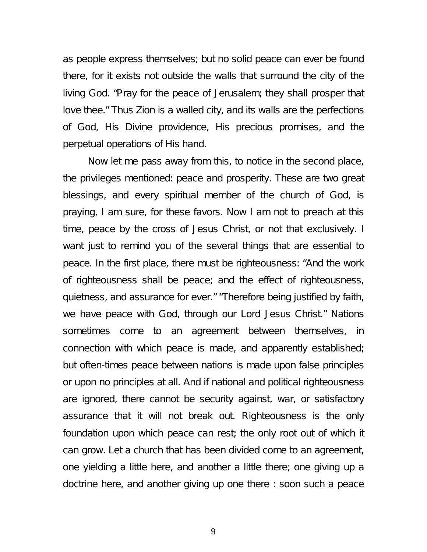as people express themselves; but no solid peace can ever be found there, for it exists not outside the walls that surround the city of the living God. "Pray for the peace of Jerusalem; they shall prosper that love thee." Thus Zion is a walled city, and its walls are the perfections of God, His Divine providence, His precious promises, and the perpetual operations of His hand.

Now let me pass away from this, to notice in the second place, the privileges mentioned: peace and prosperity. These are two great blessings, and every spiritual member of the church of God, is praying, I am sure, for these favors. Now I am not to preach at this time, peace by the cross of Jesus Christ, or not that exclusively. I want just to remind you of the several things that are essential to peace. In the first place, there must be righteousness: "And the work of righteousness shall be peace; and the effect of righteousness, quietness, and assurance for ever." "Therefore being justified by faith, we have peace with God, through our Lord Jesus Christ." Nations sometimes come to an agreement between themselves, in connection with which peace is made, and apparently established; but often-times peace between nations is made upon false principles or upon no principles at all. And if national and political righteousness are ignored, there cannot be security against, war, or satisfactory assurance that it will not break out. Righteousness is the only foundation upon which peace can rest; the only root out of which it can grow. Let a church that has been divided come to an agreement, one yielding a little here, and another a little there; one giving up a doctrine here, and another giving up one there : soon such a peace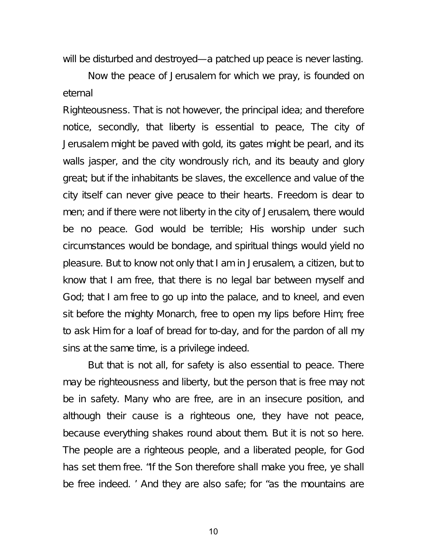will be disturbed and destroyed—a patched up peace is never lasting.

Now the peace of Jerusalem for which we pray, is founded on eternal

Righteousness. That is not however, the principal idea; and therefore notice, secondly, that liberty is essential to peace, The city of Jerusalem might be paved with gold, its gates might be pearl, and its walls jasper, and the city wondrously rich, and its beauty and glory great; but if the inhabitants be slaves, the excellence and value of the city itself can never give peace to their hearts. Freedom is dear to men; and if there were not liberty in the city of Jerusalem, there would be no peace. God would be terrible; His worship under such circumstances would be bondage, and spiritual things would yield no pleasure. But to know not only that I am in Jerusalem, a citizen, but to know that I am free, that there is no legal bar between myself and God; that I am free to go up into the palace, and to kneel, and even sit before the mighty Monarch, free to open my lips before Him; free to ask Him for a loaf of bread for to-day, and for the pardon of all my sins at the same time, is a privilege indeed.

But that is not all, for safety is also essential to peace. There may be righteousness and liberty, but the person that is free may not be in safety. Many who are free, are in an insecure position, and although their cause is a righteous one, they have not peace, because everything shakes round about them. But it is not so here. The people are a righteous people, and a liberated people, for God has set them free. "If the Son therefore shall make you free, ye shall be free indeed. ' And they are also safe; for "as the mountains are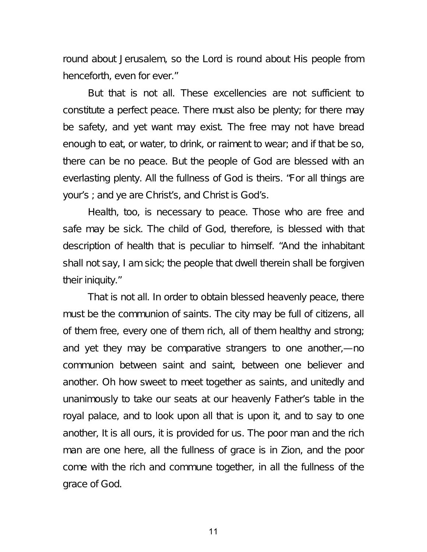round about Jerusalem, so the Lord is round about His people from henceforth, even for ever."

But that is not all. These excellencies are not sufficient to constitute a perfect peace. There must also be plenty; for there may be safety, and yet want may exist. The free may not have bread enough to eat, or water, to drink, or raiment to wear; and if that be so, there can be no peace. But the people of God are blessed with an everlasting plenty. All the fullness of God is theirs. "For all things are your's ; and ye are Christ's, and Christ is God's.

Health, too, is necessary to peace. Those who are free and safe may be sick. The child of God, therefore, is blessed with that description of health that is peculiar to himself. "And the inhabitant shall not say, I am sick; the people that dwell therein shall be forgiven their iniquity."

That is not all. In order to obtain blessed heavenly peace, there must be the communion of saints. The city may be full of citizens, all of them free, every one of them rich, all of them healthy and strong; and yet they may be comparative strangers to one another,—no communion between saint and saint, between one believer and another. Oh how sweet to meet together as saints, and unitedly and unanimously to take our seats at our heavenly Father's table in the royal palace, and to look upon all that is upon it, and to say to one another, It is all ours, it is provided for us. The poor man and the rich man are one here, all the fullness of grace is in Zion, and the poor come with the rich and commune together, in all the fullness of the grace of God.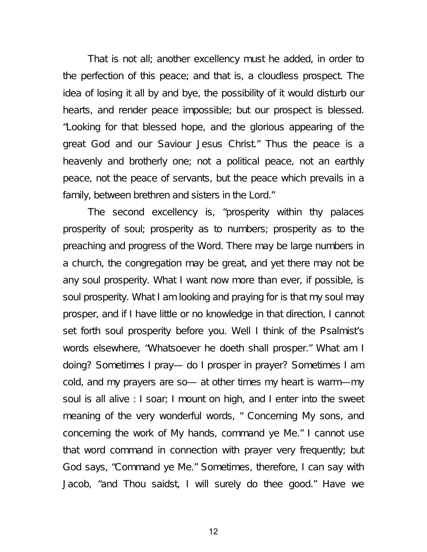That is not all; another excellency must he added, in order to the perfection of this peace; and that is, a cloudless prospect. The idea of losing it all by and bye, the possibility of it would disturb our hearts, and render peace impossible; but our prospect is blessed. "Looking for that blessed hope, and the glorious appearing of the great God and our Saviour Jesus Christ." Thus the peace is a heavenly and brotherly one; not a political peace, not an earthly peace, not the peace of servants, but the peace which prevails in a family, between brethren and sisters in the Lord."

The second excellency is, "prosperity within thy palaces prosperity of soul; prosperity as to numbers; prosperity as to the preaching and progress of the Word. There may be large numbers in a church, the congregation may be great, and yet there may not be any soul prosperity. What I want now more than ever, if possible, is soul prosperity. What I am looking and praying for is that my soul may prosper, and if I have little or no knowledge in that direction, I cannot set forth soul prosperity before you. Well I think of the Psalmist's words elsewhere, "Whatsoever he doeth shall prosper." What am I doing? Sometimes I pray— do I prosper in prayer? Sometimes I am cold, and my prayers are so— at other times my heart is warm—my soul is all alive : I soar; I mount on high, and I enter into the sweet meaning of the very wonderful words, " Concerning My sons, and concerning the work of My hands, command ye Me." I cannot use that word command in connection with prayer very frequently; but God says, "Command ye Me." Sometimes, therefore, I can say with Jacob, "and Thou saidst, I will surely do thee good." Have we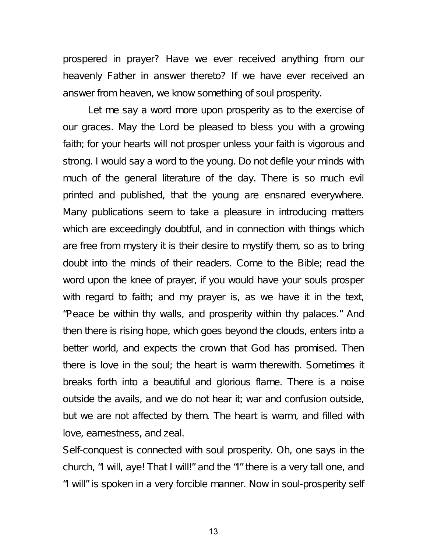prospered in prayer? Have we ever received anything from our heavenly Father in answer thereto? If we have ever received an answer from heaven, we know something of soul prosperity.

Let me say a word more upon prosperity as to the exercise of our graces. May the Lord be pleased to bless you with a growing faith; for your hearts will not prosper unless your faith is vigorous and strong. I would say a word to the young. Do not defile your minds with much of the general literature of the day. There is so much evil printed and published, that the young are ensnared everywhere. Many publications seem to take a pleasure in introducing matters which are exceedingly doubtful, and in connection with things which are free from mystery it is their desire to mystify them, so as to bring doubt into the minds of their readers. Come to the Bible; read the word upon the knee of prayer, if you would have your souls prosper with regard to faith; and my prayer is, as we have it in the text, "Peace be within thy walls, and prosperity within thy palaces." And then there is rising hope, which goes beyond the clouds, enters into a better world, and expects the crown that God has promised. Then there is love in the soul; the heart is warm therewith. Sometimes it breaks forth into a beautiful and glorious flame. There is a noise outside the avails, and we do not hear it; war and confusion outside, but we are not affected by them. The heart is warm, and filled with love, earnestness, and zeal.

Self-conquest is connected with soul prosperity. Oh, one says in the church, "I will, aye! That I will!" and the "I" there is a very tall one, and "I will" is spoken in a very forcible manner. Now in soul-prosperity self